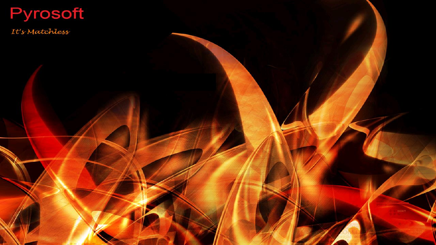## Pyrosoft

It's Matchless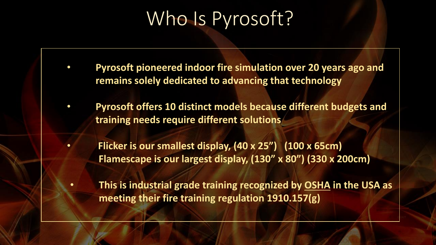## Who Is Pyrosoft?

- **Pyrosoft pioneered indoor fire simulation over 20 years ago and remains solely dedicated to advancing that technology**
- **Pyrosoft offers 10 distinct models because different budgets and training needs require different solutions**
- **Flicker is our smallest display, (40 x 25") (100 x 65cm) Flamescape is our largest display, (130" x 80") (330 x 200cm)**
- **This is industrial grade training recognized by OSHA in the USA as meeting their fire training regulation 1910.157(g)**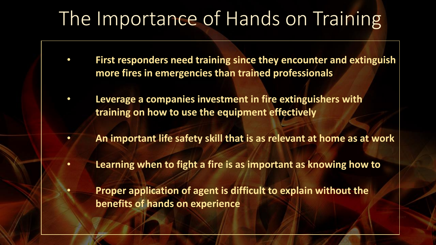## The Importance of Hands on Training

- **First responders need training since they encounter and extinguish more fires in emergencies than trained professionals**
- **Leverage a companies investment in fire extinguishers with training on how to use the equipment effectively**
- **An important life safety skill that is as relevant at home as at work**
- **Learning when to fight a fire is as important as knowing how to**
	- **Proper application of agent is difficult to explain without the benefits of hands on experience**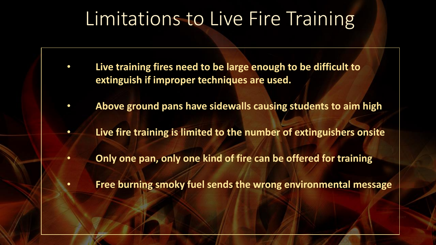## Limitations to Live Fire Training

- **Live training fires need to be large enough to be difficult to extinguish if improper techniques are used.**
- **Above ground pans have sidewalls causing students to aim high**
	- **Live fire training is limited to the number of extinguishers onsite**
- **Only one pan, only one kind of fire can be offered for training**
- **Free burning smoky fuel sends the wrong environmental message**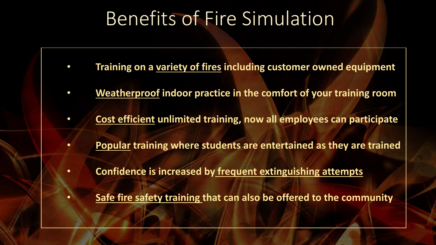## Benefits of Fire Simulation

- **Training on a variety of fires including customer owned equipment**
- **Weatherproof indoor practice in the comfort of your training room**
- **Cost efficient unlimited training, now all employees can participate**
- **Popular training where students are entertained as they are trained**
- **Confidence is increased by frequent extinguishing attempts**
	- **Safe fire safety training that can also be offered to the community**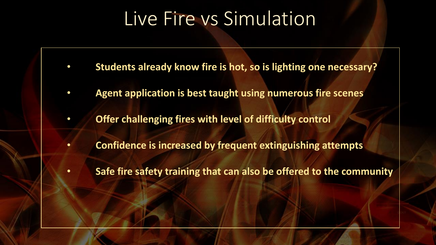## Live Fire vs Simulation

- **Students already know fire is hot, so is lighting one necessary?**
- **Agent application is best taught using numerous fire scenes**
- **Offer challenging fires with level of difficulty control**
- **Confidence is increased by frequent extinguishing attempts**
- **Safe fire safety training that can also be offered to the community**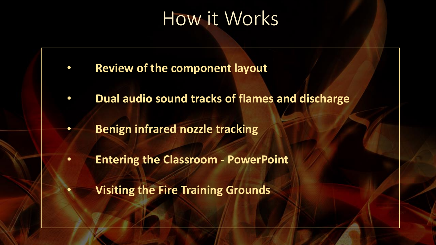### How it Works

- **Review of the component layout**
- **Dual audio sound tracks of flames and discharge**
	- **Benign infrared nozzle tracking**
- **Entering the Classroom - PowerPoint**
	- **Visiting the Fire Training Grounds**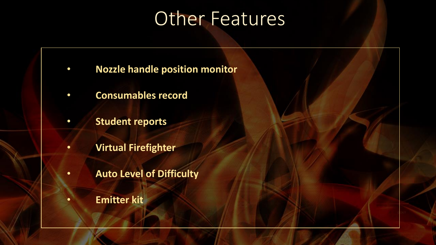## Other Features

- **Nozzle handle position monitor**
- **Consumables record**
- **Student reports**
- **Virtual Firefighter**
- **Auto Level of Difficulty**
	- **Emitter kit**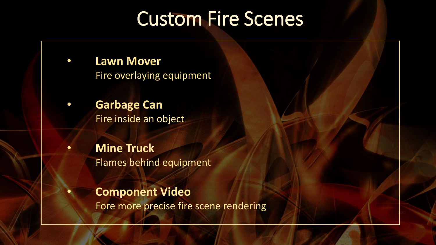## Custom Fire Scenes

- **Lawn Mover** Fire overlaying equipment
- **Garbage Can** Fire inside an object
- **Mine Truck** Flames behind equipment
	- **Component Video** Fore more precise fire scene rendering